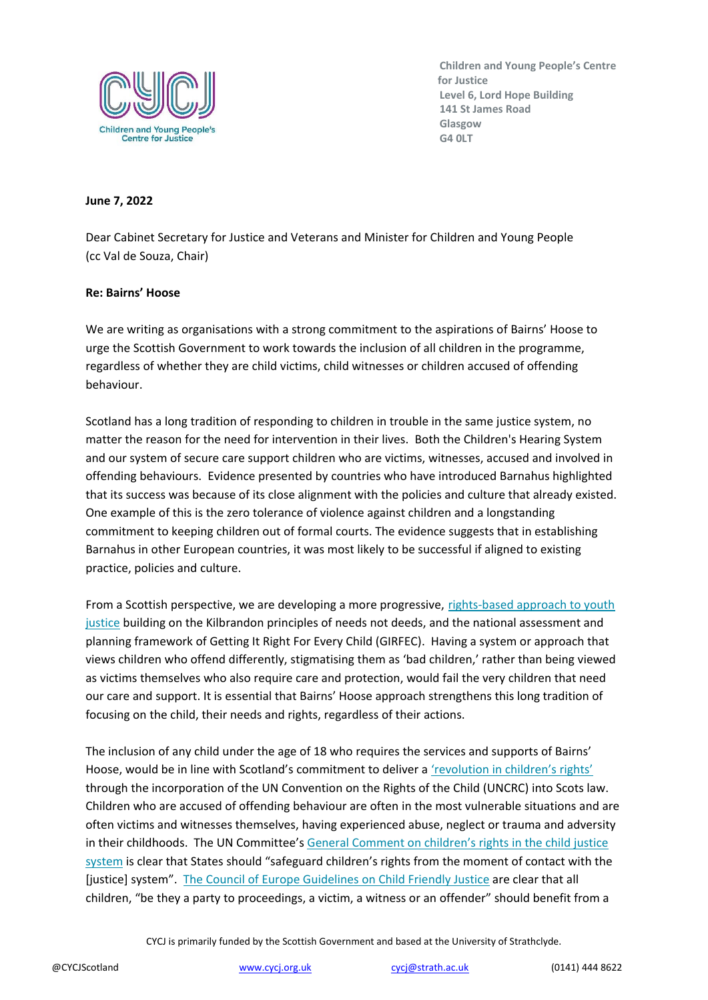

## **June 7, 2022**

Dear Cabinet Secretary for Justice and Veterans and Minister for Children and Young People (cc Val de Souza, Chair)

## **Re: Bairns' Hoose**

We are writing as organisations with a strong commitment to the aspirations of Bairns' Hoose to urge the Scottish Government to work towards the inclusion of all children in the programme, regardless of whether they are child victims, child witnesses or children accused of offending behaviour.

Scotland has a long tradition of responding to children in trouble in the same justice system, no matter the reason for the need for intervention in their lives. Both the Children's Hearing System and our system of secure care support children who are victims, witnesses, accused and involved in offending behaviours. Evidence presented by countries who have introduced Barnahus highlighted that its success was because of its close alignment with the policies and culture that already existed. One example of this is the zero tolerance of violence against children and a longstanding commitment to keeping children out of formal courts. The evidence suggests that in establishing Barnahus in other European countries, it was most likely to be successful if aligned to existing practice, policies and culture.

From a Scottish perspective, we are developing a more progressive, [rights-based approach to youth](https://www.gov.scot/publications/rights-respecting-approach-justice-children-young-people-scotlands-vision-priorities/)  [justice](https://www.gov.scot/publications/rights-respecting-approach-justice-children-young-people-scotlands-vision-priorities/) building on the Kilbrandon principles of needs not deeds, and the national assessment and planning framework of Getting It Right For Every Child (GIRFEC). Having a system or approach that views children who offend differently, stigmatising them as 'bad children,' rather than being viewed as victims themselves who also require care and protection, would fail the very children that need our care and support. It is essential that Bairns' Hoose approach strengthens this long tradition of focusing on the child, their needs and rights, regardless of their actions.

The inclusion of any child under the age of 18 who requires the services and supports of Bairns' Hoose, would be in line with Scotland's commitment to deliver a ['revolution in children's rights'](https://www.gov.scot/news/landmark-for-childrens-rights/) through the incorporation of the UN Convention on the Rights of the Child (UNCRC) into Scots law. Children who are accused of offending behaviour are often in the most vulnerable situations and are often victims and witnesses themselves, having experienced abuse, neglect or trauma and adversity in their childhoods. The UN Committee's [General Comment on children's rights in the chil](https://tbinternet.ohchr.org/_layouts/15/treatybodyexternal/Download.aspx?symbolno=CRC%2fC%2fGC%2f24&Lang=en)d justice [system](https://tbinternet.ohchr.org/_layouts/15/treatybodyexternal/Download.aspx?symbolno=CRC%2fC%2fGC%2f24&Lang=en) is clear that States should "safeguard children's rights from the moment of contact with the [justice] system". [The Council of Europe Guidelines on Child Friendly Justice](https://rm.coe.int/16804b2cf3) are clear that all children, "be they a party to proceedings, a victim, a witness or an offender" should benefit from a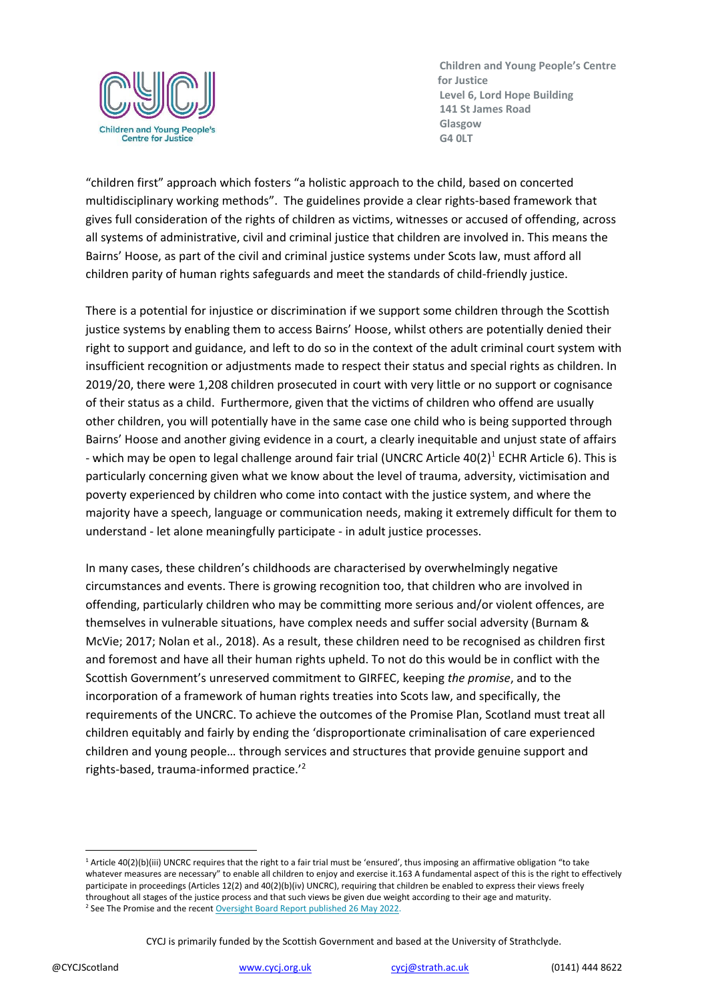

"children first" approach which fosters "a holistic approach to the child, based on concerted multidisciplinary working methods". The guidelines provide a clear rights-based framework that gives full consideration of the rights of children as victims, witnesses or accused of offending, across all systems of administrative, civil and criminal justice that children are involved in. This means the Bairns' Hoose, as part of the civil and criminal justice systems under Scots law, must afford all children parity of human rights safeguards and meet the standards of child-friendly justice.

There is a potential for injustice or discrimination if we support some children through the Scottish justice systems by enabling them to access Bairns' Hoose, whilst others are potentially denied their right to support and guidance, and left to do so in the context of the adult criminal court system with insufficient recognition or adjustments made to respect their status and special rights as children. In 2019/20, there were 1,208 children prosecuted in court with very little or no support or cognisance of their status as a child. Furthermore, given that the victims of children who offend are usually other children, you will potentially have in the same case one child who is being supported through Bairns' Hoose and another giving evidence in a court, a clearly inequitable and unjust state of affairs - which may be open to legal challenge around fair trial (UNCRC Article 40(2)<sup>1</sup> ECHR Article 6). This is particularly concerning given what we know about the level of trauma, adversity, victimisation and poverty experienced by children who come into contact with the justice system, and where the majority have a speech, language or communication needs, making it extremely difficult for them to understand - let alone meaningfully participate - in adult justice processes.

In many cases, these children's childhoods are characterised by overwhelmingly negative circumstances and events. There is growing recognition too, that children who are involved in offending, particularly children who may be committing more serious and/or violent offences, are themselves in vulnerable situations, have complex needs and suffer social adversity (Burnam & McVie; 2017; Nolan et al., 2018). As a result, these children need to be recognised as children first and foremost and have all their human rights upheld. To not do this would be in conflict with the Scottish Government's unreserved commitment to GIRFEC, keeping *the promise*, and to the incorporation of a framework of human rights treaties into Scots law, and specifically, the requirements of the UNCRC. To achieve the outcomes of the Promise Plan, Scotland must treat all children equitably and fairly by ending the 'disproportionate criminalisation of care experienced children and young people… through services and structures that provide genuine support and rights-based, trauma-informed practice.'<sup>2</sup>

<sup>&</sup>lt;sup>1</sup> Article 40(2)(b)(iii) UNCRC requires that the right to a fair trial must be 'ensured', thus imposing an affirmative obligation "to take whatever measures are necessary" to enable all children to enjoy and exercise it.163 A fundamental aspect of this is the right to effectively participate in proceedings (Articles 12(2) and 40(2)(b)(iv) UNCRC), requiring that children be enabled to express their views freely throughout all stages of the justice process and that such views be given due weight according to their age and maturity. <sup>2</sup> See The Promise and the recent [Oversight Board Report published 26 May 2022.](https://thepromise.scot/assets/UPLOADS/DOCUMENTS/Promise%20Oversight%20Board%20Report%20ONE%20FINAL.pdf)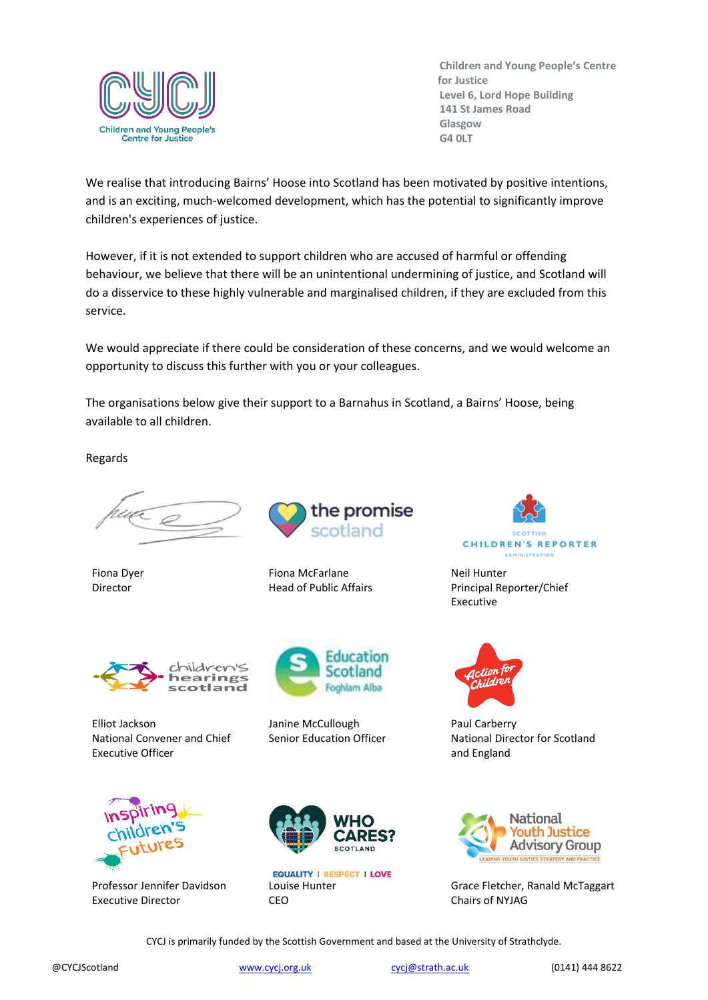

We realise that introducing Bairns' Hoose into Scotland has been motivated by positive intentions, and is an exciting, much-welcomed development, which has the potential to significantly improve children's experiences of justice.

However, if it is not extended to support children who are accused of harmful or offending behaviour, we believe that there will be an unintentional undermining of justice, and Scotland will do a disservice to these highly vulnerable and marginalised children, if they are excluded from this service.

We would appreciate if there could be consideration of these concerns, and we would welcome an opportunity to discuss this further with you or your colleagues.

The organisations below give their support to a Barnahus in Scotland, a Bairns' Hoose, being available to all children.

Regards

Fiona Dyer Director



Fiona McFarlane Head of Public Affairs



Elliot Jackson National Convener and Chief Executive Officer



Professor Jennifer Davidson Executive Director



Janine McCullough Senior Education Officer



**EQUALITY | RESPECT | LOVE** Louise Hunter **CEO** 



**ADMINISTRATION** 

Neil Hunter Principal Reporter/Chief Executive



Paul Carberry National Director for Scotland and England



Grace Fletcher, Ranald McTaggart Chairs of NYJAG